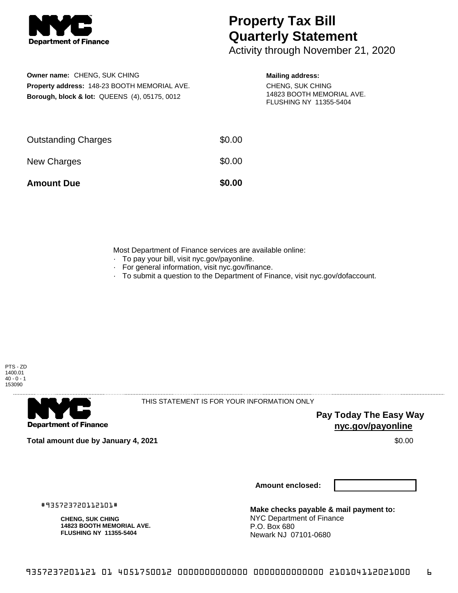

# **Property Tax Bill Quarterly Statement**

Activity through November 21, 2020

## **Owner name:** CHENG, SUK CHING **Property address:** 148-23 BOOTH MEMORIAL AVE. **Borough, block & lot:** QUEENS (4), 05175, 0012

### **Mailing address:**

CHENG, SUK CHING 14823 BOOTH MEMORIAL AVE. FLUSHING NY 11355-5404

| <b>Amount Due</b>          | \$0.00 |
|----------------------------|--------|
| New Charges                | \$0.00 |
| <b>Outstanding Charges</b> | \$0.00 |

Most Department of Finance services are available online:

- · To pay your bill, visit nyc.gov/payonline.
- For general information, visit nyc.gov/finance.
- · To submit a question to the Department of Finance, visit nyc.gov/dofaccount.



**Department of Finance** 

THIS STATEMENT IS FOR YOUR INFORMATION ONLY

**Pay Today The Easy Way nyc.gov/payonline**

**Total amount due by January 4, 2021** \$0.00

**Amount enclosed:**

#935723720112101#

**CHENG, SUK CHING 14823 BOOTH MEMORIAL AVE. FLUSHING NY 11355-5404**

**Make checks payable & mail payment to:** NYC Department of Finance P.O. Box 680 Newark NJ 07101-0680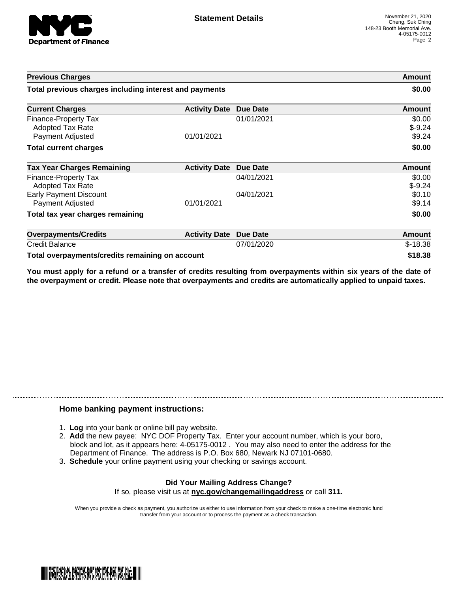

| <b>Previous Charges</b>                                             |                      |                 | Amount                       |
|---------------------------------------------------------------------|----------------------|-----------------|------------------------------|
| Total previous charges including interest and payments              |                      |                 | \$0.00                       |
| <b>Current Charges</b>                                              | <b>Activity Date</b> | <b>Due Date</b> | <b>Amount</b>                |
| Finance-Property Tax<br><b>Adopted Tax Rate</b><br>Payment Adjusted | 01/01/2021           | 01/01/2021      | \$0.00<br>$$-9.24$<br>\$9.24 |
| <b>Total current charges</b>                                        |                      |                 | \$0.00                       |
| <b>Tax Year Charges Remaining</b>                                   | <b>Activity Date</b> | Due Date        | Amount                       |
| Finance-Property Tax<br><b>Adopted Tax Rate</b>                     |                      | 04/01/2021      | \$0.00<br>$$-9.24$           |
| <b>Early Payment Discount</b><br>Payment Adjusted                   | 01/01/2021           | 04/01/2021      | \$0.10<br>\$9.14             |
| Total tax year charges remaining                                    |                      |                 | \$0.00                       |
| <b>Overpayments/Credits</b>                                         | <b>Activity Date</b> | <b>Due Date</b> | <b>Amount</b>                |
| <b>Credit Balance</b>                                               |                      | 07/01/2020      | $$-18.38$                    |
| Total overpayments/credits remaining on account                     |                      |                 | \$18.38                      |

You must apply for a refund or a transfer of credits resulting from overpayments within six years of the date of **the overpayment or credit. Please note that overpayments and credits are automatically applied to unpaid taxes.**

### **Home banking payment instructions:**

- 1. **Log** into your bank or online bill pay website.
- 2. **Add** the new payee: NYC DOF Property Tax. Enter your account number, which is your boro, block and lot, as it appears here: 4-05175-0012 . You may also need to enter the address for the Department of Finance. The address is P.O. Box 680, Newark NJ 07101-0680.
- 3. **Schedule** your online payment using your checking or savings account.

#### **Did Your Mailing Address Change?** If so, please visit us at **nyc.gov/changemailingaddress** or call **311.**

When you provide a check as payment, you authorize us either to use information from your check to make a one-time electronic fund transfer from your account or to process the payment as a check transaction.